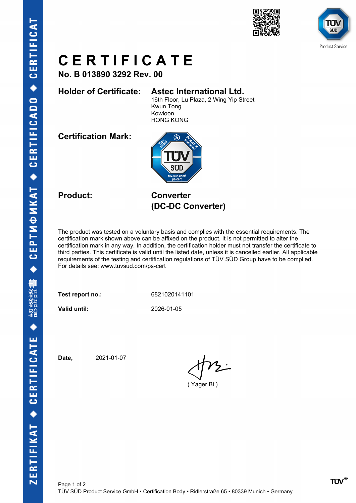



# **C E R T I F I C A T E**

**No. B 013890 3292 Rev. 00**

### **Holder of Certificate: Astec International Ltd.**

16th Floor, Lu Plaza, 2 Wing Yip Street Kwun Tong Kowloon HONG KONG

**Certification Mark:**



**Product: Converter (DC-DC Converter)**

The product was tested on a voluntary basis and complies with the essential requirements. The certification mark shown above can be affixed on the product. It is not permitted to alter the certification mark in any way. In addition, the certification holder must not transfer the certificate to third parties. This certificate is valid until the listed date, unless it is cancelled earlier. All applicable requirements of the testing and certification regulations of TÜV SÜD Group have to be complied. For details see: www.tuvsud.com/ps-cert

**Test report no.:** 6821020141101

**Valid until:** 2026-01-05

**Date,** 2021-01-07

( Yager Bi )